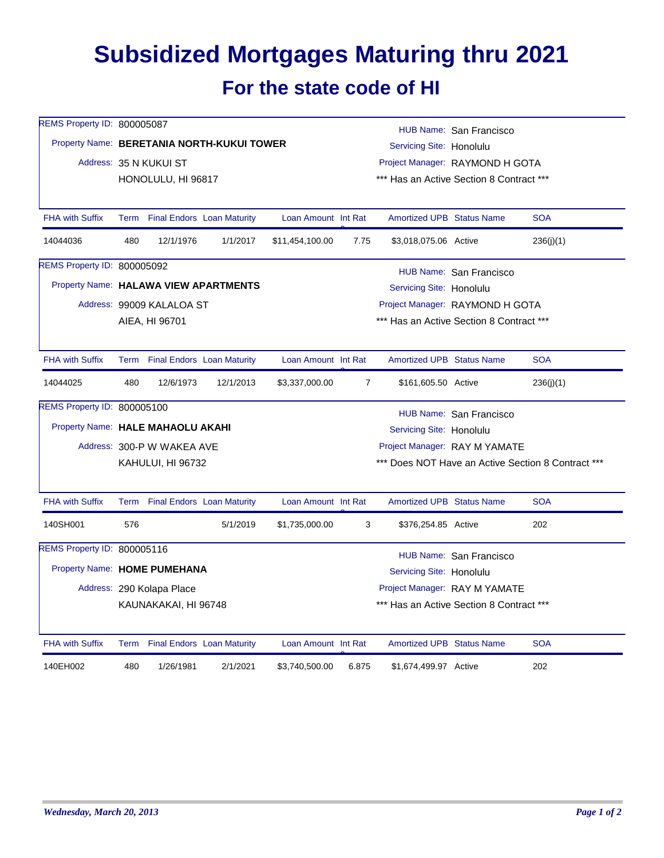## **Subsidized Mortgages Maturing thru 2021 For the state code of HI**

| REMS Property ID: 800005087           |                                            |                                 |                                   |                     | HUB Name: San Francisco                            |                                                                             |                         |            |  |  |
|---------------------------------------|--------------------------------------------|---------------------------------|-----------------------------------|---------------------|----------------------------------------------------|-----------------------------------------------------------------------------|-------------------------|------------|--|--|
|                                       | Property Name: BERETANIA NORTH-KUKUI TOWER |                                 |                                   |                     |                                                    | Servicing Site: Honolulu                                                    |                         |            |  |  |
|                                       |                                            | Address: 35 N KUKUI ST          |                                   |                     |                                                    | Project Manager: RAYMOND H GOTA<br>*** Has an Active Section 8 Contract *** |                         |            |  |  |
|                                       |                                            | HONOLULU, HI 96817              |                                   |                     |                                                    |                                                                             |                         |            |  |  |
| <b>FHA with Suffix</b>                | Term                                       |                                 | <b>Final Endors Loan Maturity</b> | Loan Amount Int Rat |                                                    | <b>Amortized UPB Status Name</b>                                            |                         | <b>SOA</b> |  |  |
| 14044036                              | 480                                        | 12/1/1976                       | 1/1/2017                          | \$11,454,100.00     | 7.75                                               | \$3,018,075.06 Active                                                       |                         | 236(j)(1)  |  |  |
| REMS Property ID: 800005092           |                                            |                                 |                                   |                     |                                                    |                                                                             | HUB Name: San Francisco |            |  |  |
| Property Name: HALAWA VIEW APARTMENTS |                                            |                                 |                                   |                     |                                                    | Servicing Site: Honolulu                                                    |                         |            |  |  |
|                                       | Address: 99009 KALALOA ST                  |                                 |                                   |                     |                                                    | Project Manager: RAYMOND H GOTA                                             |                         |            |  |  |
|                                       | AIEA, HI 96701                             |                                 |                                   |                     |                                                    | *** Has an Active Section 8 Contract ***                                    |                         |            |  |  |
| <b>FHA with Suffix</b>                |                                            | Term Final Endors Loan Maturity |                                   | Loan Amount Int Rat |                                                    | <b>Amortized UPB Status Name</b>                                            |                         | <b>SOA</b> |  |  |
| 14044025                              | 480                                        | 12/6/1973                       | 12/1/2013                         | \$3,337,000.00      | $\overline{7}$                                     | \$161,605.50 Active                                                         |                         | 236(j)(1)  |  |  |
| <b>REMS Property ID: 800005100</b>    |                                            |                                 |                                   |                     |                                                    |                                                                             | HUB Name: San Francisco |            |  |  |
| Property Name: HALE MAHAOLU AKAHI     |                                            |                                 |                                   |                     |                                                    | Servicing Site: Honolulu                                                    |                         |            |  |  |
|                                       |                                            | Address: 300-P W WAKEA AVE      |                                   |                     |                                                    | Project Manager: RAY M YAMATE                                               |                         |            |  |  |
|                                       |                                            | KAHULUI, HI 96732               |                                   |                     | *** Does NOT Have an Active Section 8 Contract *** |                                                                             |                         |            |  |  |
| <b>FHA with Suffix</b>                |                                            | Term Final Endors Loan Maturity |                                   | Loan Amount Int Rat |                                                    | <b>Amortized UPB Status Name</b>                                            |                         | <b>SOA</b> |  |  |
| 140SH001                              | 576                                        |                                 | 5/1/2019                          | \$1,735,000.00      | 3                                                  | \$376,254.85 Active                                                         |                         | 202        |  |  |
| REMS Property ID: 800005116           |                                            |                                 |                                   |                     |                                                    |                                                                             | HUB Name: San Francisco |            |  |  |
|                                       | Property Name: HOME PUMEHANA               |                                 |                                   |                     |                                                    | Servicing Site: Honolulu                                                    |                         |            |  |  |
|                                       |                                            | Address: 290 Kolapa Place       |                                   |                     |                                                    | Project Manager: RAY M YAMATE                                               |                         |            |  |  |
|                                       | KAUNAKAKAI, HI 96748                       |                                 |                                   |                     |                                                    | *** Has an Active Section 8 Contract ***                                    |                         |            |  |  |
| <b>FHA with Suffix</b>                |                                            | Term Final Endors Loan Maturity |                                   | Loan Amount Int Rat |                                                    | <b>Amortized UPB Status Name</b>                                            |                         | <b>SOA</b> |  |  |
| 140EH002                              | 480                                        | 1/26/1981                       | 2/1/2021                          | \$3,740,500.00      | 6.875                                              | \$1,674,499.97 Active                                                       |                         | 202        |  |  |